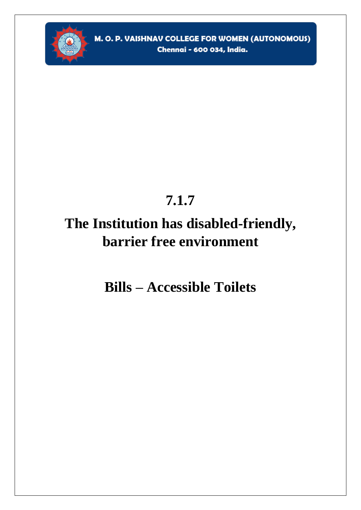

## 7.1.7

# The Institution has disabled-friendly, barrier free environment

**Bills - Accessible Toilets**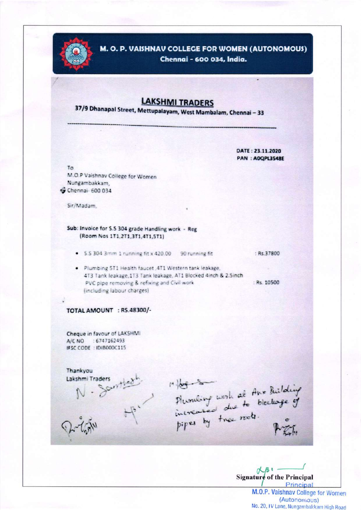

M. O. P. VAISHNAV COLLEGE FOR WOMEN (AUTONOMOUS)

Chennai - 600 034, India.

## **LAKSHMI TRADERS**

37/9 Dhanapal Street, Mettupalayam, West Mambalam, Chennai - 33

DATE: 23.11.2020 **PAN: AOQPL3548E** 

 $7<sub>a</sub>$ M.O.P Vaishnav College for Women Nungambakkam, G Chennai- 600 034

Sir/Madam.

Sub: Invoice for S.S 304 grade Handling work - Reg (Room Nos 1T1,2T1,3T1,4T1,5T1)

. S.S 304 3mm 1 running fit x 420.00 90 running fit : Rs. 37800

· Plumbing 5T1 Health faucet ,4T1 Western tank leakage, 4T3 Tank leakage, 1T3 Tank leakage, AT1 Blocked 4inch & 2.5inch PVC pipe removing & refixing and Civil work (including labour charges)

: Rs. 10500

### TOTAL AMOUNT : RS.48300/-

Cheque in favour of LAKSHMI A/C NO : 6747162493 IFSC CODE : IDIB000C115

Lakshmitraders<br>
N - Scirit<u>holding</u><br>
Phonology work at the Building<br>
Phonology of the rest.<br>
Pipes by the rest.<br>
River Thankyou

 $\alpha_{\beta}$ **Signature of the Principal** Principal

M.O.P. Vaishnav College for Women (Autonomous) No. 20, IV Lane, Nungambakkam High Road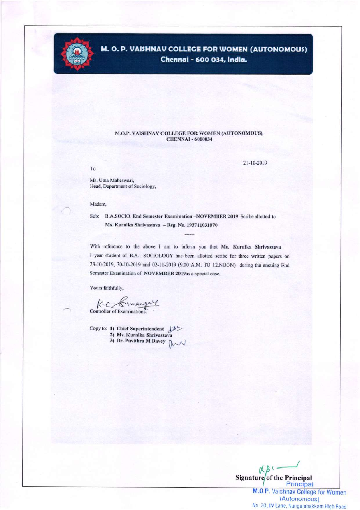

## M. O. P. VAISHNAV COLLEGE FOR WOMEN (AUTONOMOUS) Chennai - 600 034, India.

#### M.O.P. VAISHNAV COLLEGE FOR WOMEN (AUTONOMOUS), **CHENNAI - 6000034**

To

21-10-2019

Ms. Uma Maheswari, Head, Department of Sociology,

#### Madam,

Sub: B.A.SOCIO. End Semester Examination -NOVEMBER 2019 Scribe allotted to Ms. Kurnika Shrivastava - Reg. No. 193711031070

With reference to the above I am to inform you that Ms. Kurnika Shrivastava I year student of B.A.- SOCIOLOGY has been allotted scribe for three written papers on 23-10-2019, 30-10-2019 and 02-11-2019 (9.00 A.M. TO 12.NOON) during the ensuing End Semester Examination of NOVEMBER 2019as a special case.

Yours faithfully,

K. C Kimangal

Copy to: 1) Chief Superintendent d> 2) Ms. Kurnika Shrivastava 3) Dr. Pavithra M Davey  $\sim$ 

 $R_{B}$ Signature of the Principal Principal

M.O.P. Vaishnav College for Women (Autonomous) No. 20, IV Lane, Nungambakkam High Road